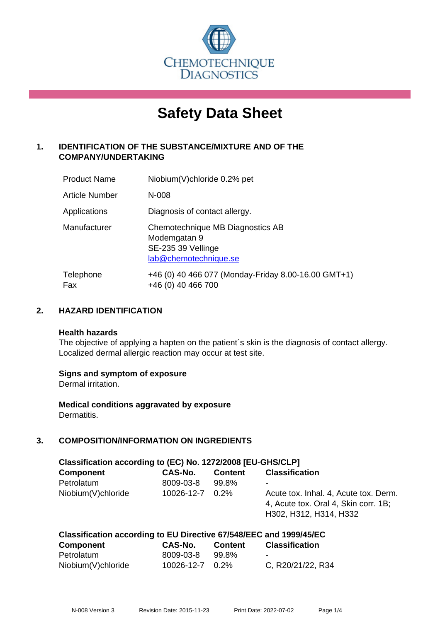

# **Safety Data Sheet**

# **1. IDENTIFICATION OF THE SUBSTANCE/MIXTURE AND OF THE COMPANY/UNDERTAKING**

| <b>Product Name</b> | Niobium(V)chloride 0.2% pet                                                                     |
|---------------------|-------------------------------------------------------------------------------------------------|
| Article Number      | $N-008$                                                                                         |
| Applications        | Diagnosis of contact allergy.                                                                   |
| Manufacturer        | Chemotechnique MB Diagnostics AB<br>Modemgatan 9<br>SE-235 39 Vellinge<br>lab@chemotechnique.se |
| Telephone<br>Fax    | +46 (0) 40 466 077 (Monday-Friday 8.00-16.00 GMT+1)<br>+46 (0) 40 466 700                       |

## **2. HAZARD IDENTIFICATION**

#### **Health hazards**

The objective of applying a hapten on the patient's skin is the diagnosis of contact allergy. Localized dermal allergic reaction may occur at test site.

## **Signs and symptom of exposure**

Dermal irritation.

**Medical conditions aggravated by exposure** Dermatitis.

# **3. COMPOSITION/INFORMATION ON INGREDIENTS**

| Classification according to (EC) No. 1272/2008 [EU-GHS/CLP] |            |                |                                                                                                         |  |  |
|-------------------------------------------------------------|------------|----------------|---------------------------------------------------------------------------------------------------------|--|--|
| <b>Component</b>                                            | CAS-No.    | <b>Content</b> | <b>Classification</b>                                                                                   |  |  |
| Petrolatum                                                  | 8009-03-8  | 99.8%          |                                                                                                         |  |  |
| Niobium(V)chloride                                          | 10026-12-7 | 0.2%           | Acute tox. Inhal. 4, Acute tox. Derm.<br>4, Acute tox. Oral 4, Skin corr. 1B;<br>H302, H312, H314, H332 |  |  |

| Classification according to EU Directive 67/548/EEC and 1999/45/EC |                 |         |                          |  |
|--------------------------------------------------------------------|-----------------|---------|--------------------------|--|
| Component                                                          | CAS-No.         | Content | <b>Classification</b>    |  |
| Petrolatum                                                         | 8009-03-8       | 99.8%   | $\overline{\phantom{a}}$ |  |
| Niobium(V)chloride                                                 | 10026-12-7 0.2% |         | C, R20/21/22, R34        |  |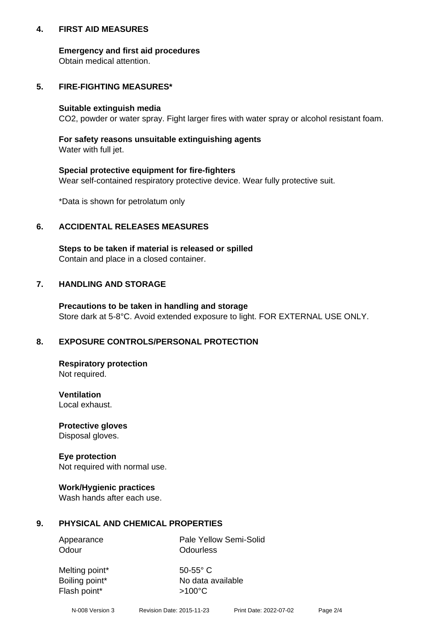## **4. FIRST AID MEASURES**

## **Emergency and first aid procedures**

Obtain medical attention.

# **5. FIRE-FIGHTING MEASURES\***

#### **Suitable extinguish media**

CO2, powder or water spray. Fight larger fires with water spray or alcohol resistant foam.

# **For safety reasons unsuitable extinguishing agents**

Water with full jet.

## **Special protective equipment for fire-fighters**

Wear self-contained respiratory protective device. Wear fully protective suit.

\*Data is shown for petrolatum only

## **6. ACCIDENTAL RELEASES MEASURES**

**Steps to be taken if material is released or spilled** Contain and place in a closed container.

# **7. HANDLING AND STORAGE**

**Precautions to be taken in handling and storage** Store dark at 5-8°C. Avoid extended exposure to light. FOR EXTERNAL USE ONLY.

# **8. EXPOSURE CONTROLS/PERSONAL PROTECTION**

**Respiratory protection** Not required.

**Ventilation** Local exhaust.

**Protective gloves** Disposal gloves.

#### **Eye protection** Not required with normal use.

## **Work/Hygienic practices**

Wash hands after each use.

## **9. PHYSICAL AND CHEMICAL PROPERTIES**

Odour **Odourless** 

Appearance Pale Yellow Semi-Solid

Melting point\* 50-55° C Flash point\*  $>100^{\circ}$ C

Boiling point\* No data available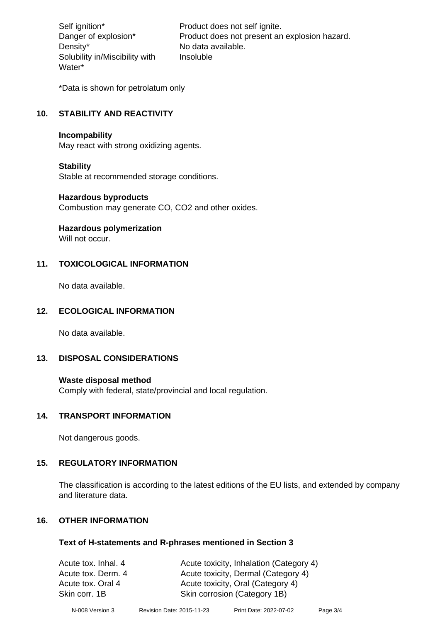Density\* No data available. Solubility in/Miscibility with Water\*

Self ignition\* Product does not self ignite. Danger of explosion\* Product does not present an explosion hazard. Insoluble

\*Data is shown for petrolatum only

# **10. STABILITY AND REACTIVITY**

#### **Incompability**

May react with strong oxidizing agents.

#### **Stability**

Stable at recommended storage conditions.

#### **Hazardous byproducts**

Combustion may generate CO, CO2 and other oxides.

**Hazardous polymerization**

Will not occur.

## **11. TOXICOLOGICAL INFORMATION**

No data available.

## **12. ECOLOGICAL INFORMATION**

No data available.

## **13. DISPOSAL CONSIDERATIONS**

#### **Waste disposal method**

Comply with federal, state/provincial and local regulation.

#### **14. TRANSPORT INFORMATION**

Not dangerous goods.

## **15. REGULATORY INFORMATION**

The classification is according to the latest editions of the EU lists, and extended by company and literature data.

## **16. OTHER INFORMATION**

#### **Text of H-statements and R-phrases mentioned in Section 3**

| Acute tox. Inhal. 4 | Acute toxicity, Inhalation (Category 4) |
|---------------------|-----------------------------------------|
| Acute tox. Derm. 4  | Acute toxicity, Dermal (Category 4)     |
| Acute tox. Oral 4   | Acute toxicity, Oral (Category 4)       |
| Skin corr. 1B       | Skin corrosion (Category 1B)            |
|                     |                                         |